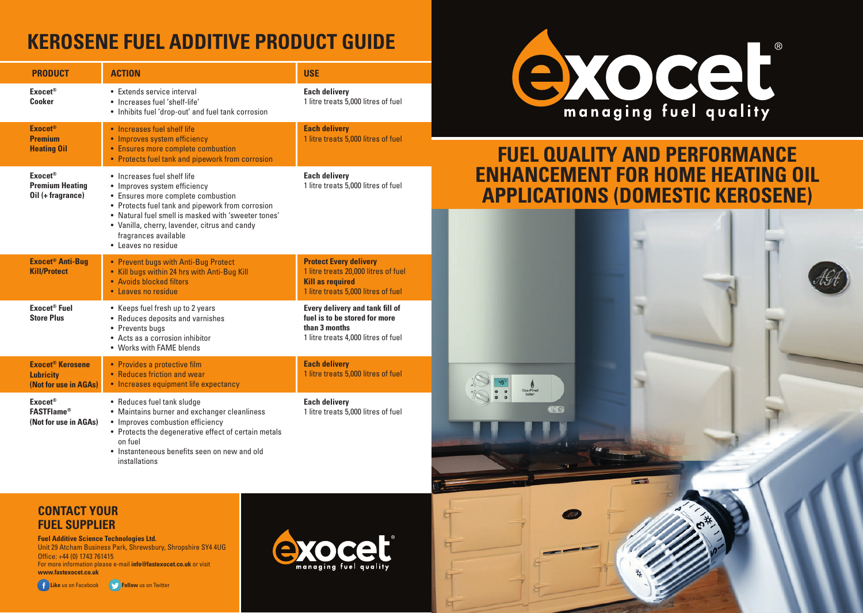## **KEROSENE FUEL ADDITIVE PRODUCT GUIDE**

| <b>PRODUCT</b>                                                                  | <b>ACTION</b>                                                                                                                                                                                                                                                                                                | <b>USE</b>                                                                                                                              |  |  |  |
|---------------------------------------------------------------------------------|--------------------------------------------------------------------------------------------------------------------------------------------------------------------------------------------------------------------------------------------------------------------------------------------------------------|-----------------------------------------------------------------------------------------------------------------------------------------|--|--|--|
| Exocet <sup>®</sup><br>Cooker                                                   | • Extends service interval<br>• Increases fuel 'shelf-life'<br>• Inhibits fuel 'drop-out' and fuel tank corrosion                                                                                                                                                                                            | <b>Each delivery</b><br>1 litre treats 5,000 litres of fuel                                                                             |  |  |  |
| <b>Exocet®</b><br><b>Premium</b><br><b>Heating Oil</b>                          | • Increases fuel shelf life<br>• Improves system efficiency<br>• Ensures more complete combustion<br>• Protects fuel tank and pipework from corrosion                                                                                                                                                        | <b>Each delivery</b><br>1 litre treats 5,000 litres of fuel                                                                             |  |  |  |
| <b>Exocet®</b><br><b>Premium Heating</b><br>Oil (+ fragrance)                   | • Increases fuel shelf life<br>• Improves system efficiency<br>• Ensures more complete combustion<br>• Protects fuel tank and pipework from corrosion<br>• Natural fuel smell is masked with 'sweeter tones'<br>• Vanilla, cherry, lavender, citrus and candy<br>fragrances available<br>• Leaves no residue | <b>Each delivery</b><br>1 litre treats 5,000 litres of fuel                                                                             |  |  |  |
| <b>Exocet<sup>®</sup> Anti-Bug</b><br><b>Kill/Protect</b>                       | • Prevent bugs with Anti-Bug Protect<br>• Kill bugs within 24 hrs with Anti-Bug Kill<br>• Avoids blocked filters<br>• Leaves no residue                                                                                                                                                                      | <b>Protect Every delivery</b><br>1 litre treats 20,000 litres of fuel<br><b>Kill as required</b><br>1 litre treats 5,000 litres of fuel |  |  |  |
| Exocet <sup>®</sup> Fuel<br><b>Store Plus</b>                                   | • Keeps fuel fresh up to 2 years<br>• Reduces deposits and varnishes<br>• Prevents buas<br>• Acts as a corrosion inhibitor<br>• Works with FAME blends                                                                                                                                                       | Every delivery and tank fill of<br>fuel is to be stored for more<br>than 3 months<br>1 litre treats 4,000 litres of fuel                |  |  |  |
| <b>Exocet<sup>®</sup> Kerosene</b><br><b>Lubricity</b><br>(Not for use in AGAs) | • Provides a protective film<br>• Reduces friction and wear<br>• Increases equipment life expectancy                                                                                                                                                                                                         | <b>Each delivery</b><br>1 litre treats 5,000 litres of fuel                                                                             |  |  |  |
| Exocet <sup>®</sup><br><b>FASTFlame®</b><br>(Not for use in AGAs)               | • Reduces fuel tank sludge<br>• Maintains burner and exchanger cleanliness<br>• Improves combustion efficiency<br>• Protects the degenerative effect of certain metals<br>on fuel<br>• Instanteneous benefits seen on new and old<br>installations                                                           | <b>Each delivery</b><br>1 litre treats 5,000 litres of fuel                                                                             |  |  |  |



#### **FUEL QUALITY AND PERFORMANCE ENHANCEMENT FOR HOME HEATING OIL APPLICATIONS (DOMESTIC KEROSENE)**



**CONTACT YOUR FUEL SUPPLIER**

**Fuel Additive Science Technologies Ltd.** Unit 29 Atcham Business Park, Shrewsbury, Shropshire SY4 4UG Office: +44 (0) 1743 761415 For more information please e-mail **info@fastexocet.co.uk** or visit **www.fastexocet.co.uk**